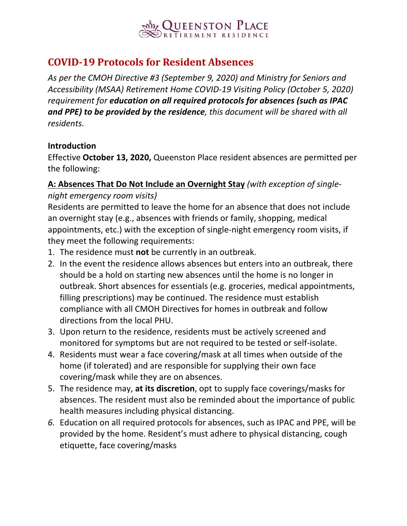

# **COVID-19 Protocols for Resident Absences**

*As per the CMOH Directive #3 (September 9, 2020) and Ministry for Seniors and Accessibility (MSAA) Retirement Home COVID-19 Visiting Policy (October 5, 2020) requirement for education on all required protocols for absences (such as IPAC and PPE) to be provided by the residence, this document will be shared with all residents.*

#### **Introduction**

Effective **October 13, 2020,** Queenston Place resident absences are permitted per the following:

# **A: Absences That Do Not Include an Overnight Stay** *(with exception of single-*

*night emergency room visits)*

Residents are permitted to leave the home for an absence that does not include an overnight stay (e.g., absences with friends or family, shopping, medical appointments, etc.) with the exception of single-night emergency room visits, if they meet the following requirements:

- 1. The residence must **not** be currently in an outbreak.
- 2. In the event the residence allows absences but enters into an outbreak, there should be a hold on starting new absences until the home is no longer in outbreak. Short absences for essentials (e.g. groceries, medical appointments, filling prescriptions) may be continued. The residence must establish compliance with all CMOH Directives for homes in outbreak and follow directions from the local PHU.
- 3. Upon return to the residence, residents must be actively screened and monitored for symptoms but are not required to be tested or self-isolate.
- 4. Residents must wear a face covering/mask at all times when outside of the home (if tolerated) and are responsible for supplying their own face covering/mask while they are on absences.
- 5. The residence may, **at its discretion**, opt to supply face coverings/masks for absences. The resident must also be reminded about the importance of public health measures including physical distancing.
- *6.* Education on all required protocols for absences, such as IPAC and PPE, will be provided by the home. Resident's must adhere to physical distancing, cough etiquette, face covering/masks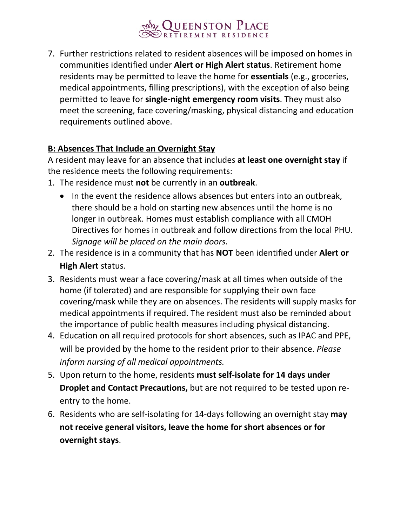# **OUEENSTON PLACE**

7. Further restrictions related to resident absences will be imposed on homes in communities identified under **Alert or High Alert status**. Retirement home residents may be permitted to leave the home for **essentials** (e.g., groceries, medical appointments, filling prescriptions), with the exception of also being permitted to leave for **single-night emergency room visits**. They must also meet the screening, face covering/masking, physical distancing and education requirements outlined above.

# **B: Absences That Include an Overnight Stay**

A resident may leave for an absence that includes **at least one overnight stay** if the residence meets the following requirements:

- 1. The residence must **not** be currently in an **outbreak**.
	- In the event the residence allows absences but enters into an outbreak, there should be a hold on starting new absences until the home is no longer in outbreak. Homes must establish compliance with all CMOH Directives for homes in outbreak and follow directions from the local PHU. *Signage will be placed on the main doors.*
- 2. The residence is in a community that has **NOT** been identified under **Alert or High Alert** status.
- 3. Residents must wear a face covering/mask at all times when outside of the home (if tolerated) and are responsible for supplying their own face covering/mask while they are on absences. The residents will supply masks for medical appointments if required. The resident must also be reminded about the importance of public health measures including physical distancing.
- 4. Education on all required protocols for short absences, such as IPAC and PPE, will be provided by the home to the resident prior to their absence. *Please inform nursing of all medical appointments.*
- 5. Upon return to the home, residents **must self-isolate for 14 days under Droplet and Contact Precautions,** but are not required to be tested upon reentry to the home.
- 6. Residents who are self-isolating for 14-days following an overnight stay **may not receive general visitors, leave the home for short absences or for overnight stays**.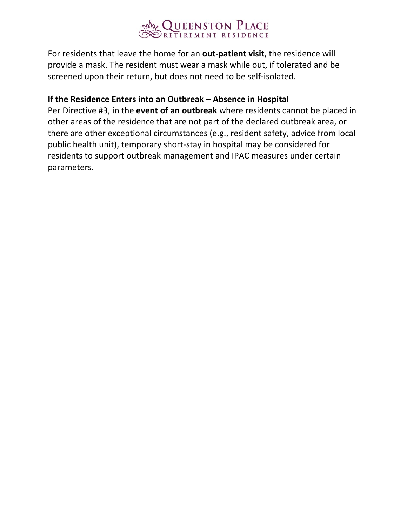

For residents that leave the home for an **out-patient visit**, the residence will provide a mask. The resident must wear a mask while out, if tolerated and be screened upon their return, but does not need to be self-isolated.

#### **If the Residence Enters into an Outbreak – Absence in Hospital**

Per Directive #3, in the **event of an outbreak** where residents cannot be placed in other areas of the residence that are not part of the declared outbreak area, or there are other exceptional circumstances (e.g., resident safety, advice from local public health unit), temporary short-stay in hospital may be considered for residents to support outbreak management and IPAC measures under certain parameters.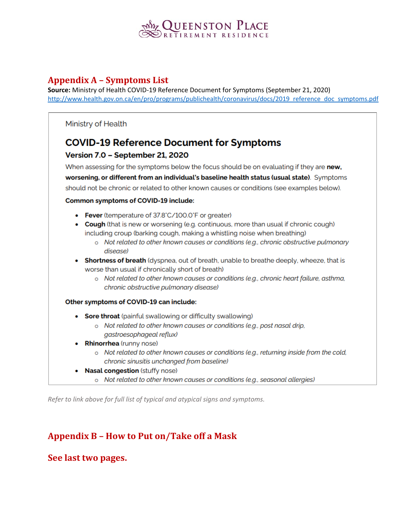

#### **Appendix A - Symptoms List**

Source: Ministry of Health COVID-19 Reference Document for Symptoms (September 21, 2020) http://www.health.gov.on.ca/en/pro/programs/publichealth/coronavirus/docs/2019 reference doc symptoms.pdf

#### Ministry of Health

# **COVID-19 Reference Document for Symptoms**

#### Version 7.0 - September 21, 2020

When assessing for the symptoms below the focus should be on evaluating if they are new, worsening, or different from an individual's baseline health status (usual state). Symptoms should not be chronic or related to other known causes or conditions (see examples below).

#### Common symptoms of COVID-19 include:

- Fever (temperature of 37.8°C/100.0°F or greater)
- Cough (that is new or worsening (e.g. continuous, more than usual if chronic cough) including croup (barking cough, making a whistling noise when breathing)
	- o Not related to other known causes or conditions (e.g., chronic obstructive pulmonary disease)
- Shortness of breath (dyspnea, out of breath, unable to breathe deeply, wheeze, that is worse than usual if chronically short of breath)
	- o Not related to other known causes or conditions (e.g., chronic heart failure, asthma, chronic obstructive pulmonary disease)

#### Other symptoms of COVID-19 can include:

- Sore throat (painful swallowing or difficulty swallowing)
	- o Not related to other known causes or conditions (e.g., post nasal drip, gastroesophageal reflux)
- Rhinorrhea (runny nose)
	- o Not related to other known causes or conditions (e.g., returning inside from the cold, chronic sinusitis unchanged from baseline)
- **Nasal congestion** (stuffy nose)
	- o Not related to other known causes or conditions (e.g., seasonal allergies)

Refer to link above for full list of typical and atypical signs and symptoms.

### **Appendix B - How to Put on/Take off a Mask**

#### See last two pages.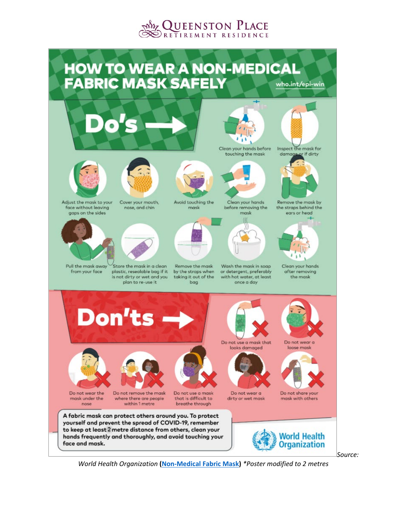



*World Health Organization* **[\(Non-Medical Fabric Mask\)](https://www.who.int/images/default-source/health-topics/coronavirus/clothing-masks-infographic---(web)-logo-who.png?sfvrsn=b15e3742_1)** *\*Poster modified to 2 metres*